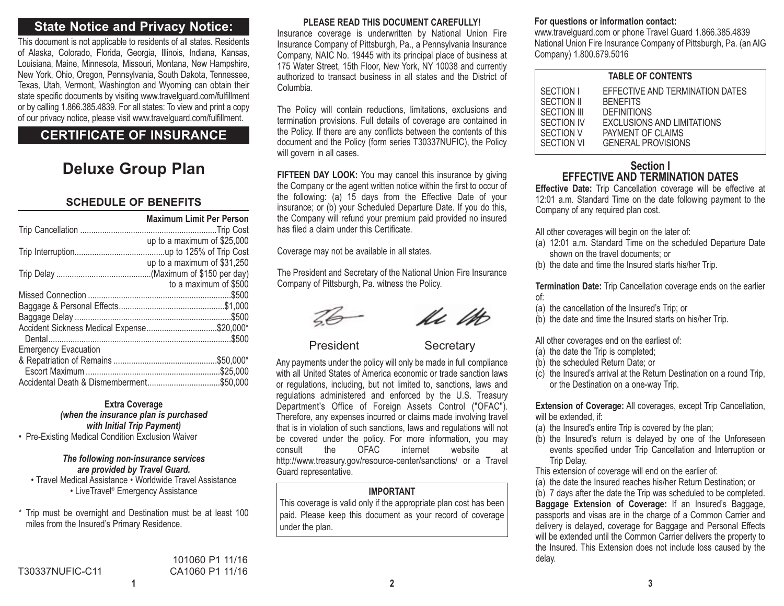# **State Notice and Privacy Notice:**

This document is not applicable to residents of all states. Residents of Alaska, Colorado, Florida, Georgia, Illinois, Indiana, Kansas, Louisiana, Maine, Minnesota, Missouri, Montana, New Hampshire, New York, Ohio, Oregon, Pennsylvania, South Dakota, Tennessee, Texas, Utah, Vermont, Washington and Wyoming can obtain their state specific documents by visiting www.travelguard.com/fulfillment or by calling 1.866.385.4839. For all states: To view and print a copy of our privacy notice, please visit www.travelguard.com/fulfillment.

# **CERTIFICATE OF INSURANCE**

# **Deluxe Group Plan**

## **SCHEDULE OF BENEFITS**

|                                            | <b>Maximum Limit Per Person</b> |
|--------------------------------------------|---------------------------------|
|                                            | up to a maximum of \$25,000     |
|                                            |                                 |
|                                            | up to a maximum of \$31,250     |
|                                            |                                 |
|                                            | to a maximum of \$500           |
|                                            |                                 |
|                                            |                                 |
|                                            | .\$500                          |
| Accident Sickness Medical Expense\$20,000* |                                 |
|                                            |                                 |
| <b>Emergency Evacuation</b>                |                                 |
|                                            | .\$50.000*                      |
|                                            |                                 |
| Accidental Death & Dismemberment\$50,000   |                                 |

#### **Extra Coverage** *(when the insurance plan is purchased*

*with Initial Trip Payment)* • Pre-Existing Medical Condition Exclusion Waiver

### *The following non-insurance services are provided by Travel Guard.*

• Travel Medical Assistance • Worldwide Travel Assistance • LiveTravel® Emergency Assistance

\* Trip must be overnight and Destination must be at least 100 miles from the Insured's Primary Residence.

#### **PLEASE READ THIS DOCUMENT CAREFULLY!**

Insurance coverage is underwritten by National Union Fire Insurance Company of Pittsburgh, Pa., a Pennsylvania Insurance Company, NAIC No. 19445 with its principal place of business at 175 Water Street, 15th Floor, New York, NY 10038 and currently authorized to transact business in all states and the District ofColumbia.

The Policy will contain reductions, limitations, exclusions and termination provisions. Full details of coverage are contained in the Policy. If there are any conflicts between the contents of this document and the Policy (form series T30337NUFIC), the Policy will govern in all cases.

**FIFTEEN DAY LOOK:** You may cancel this insurance by giving the Company or the agent written notice within the first to occur of the following: (a) 15 days from the Effective Date of your insurance; or (b) your Scheduled Departure Date. If you do this, the Company will refund your premium paid provided no insured has filed a claim under this Certificate.

Coverage may not be available in all states.

The President and Secretary of the National Union Fire Insurance Company of Pittsburgh, Pa. witness the Policy.



he th

President Secretary

Any payments under the policy will only be made in full compliance with all United States of America economic or trade sanction lawsor regulations, including, but not limited to, sanctions, laws and regulations administered and enforced by the U.S. Treasury Department's Office of Foreign Assets Control ("OFAC"). Therefore, any expenses incurred or claims made involving travel that is in violation of such sanctions, laws and regulations will not be covered under the policy. For more information, you may consult the OFAC internet website at http://www.treasury.gov/resource-center/sanctions/ or a Travel Guard representative.

## **IMPORTANT**

This coverage is valid only if the appropriate plan cost has been paid. Please keep this document as your record of coverage under the plan.

#### **For questions or information contact:**

www.travelguard.com or phone Travel Guard 1.866.385.4839 National Union Fire Insurance Company of Pittsburgh, Pa. (an AIG Company) 1.800.679.5016

#### **TABLE OF CONTENTS**

| SECTION I   | EFFECTIVE AND TERMINATION DATES |  |
|-------------|---------------------------------|--|
| SECTION II  | <b>BENEFITS</b>                 |  |
| SECTION III | <b>DEFINITIONS</b>              |  |
| SECTION IV  | EXCLUSIONS AND LIMITATIONS      |  |
| SECTION V   | PAYMENT OF CLAIMS               |  |
| SECTION VI  | <b>GENERAL PROVISIONS</b>       |  |
|             |                                 |  |

### **Section IEFFECTIVE AND TERMINATION DATES**

**Effective Date:** Trip Cancellation coverage will be effective at 12:01 a.m. Standard Time on the date following payment to the Company of any required plan cost.

All other coverages will begin on the later of:

- (a) 12:01 a.m. Standard Time on the scheduled Departure Date shown on the travel documents; or
- (b) the date and time the Insured starts his/her Trip.

**Termination Date:** Trip Cancellation coverage ends on the earlier of:

- (a) the cancellation of the Insured's Trip; or
- (b) the date and time the Insured starts on his/her Trip.
- All other coverages end on the earliest of:
- (a) the date the Trip is completed;
- (b) the scheduled Return Date; or
- (c) the Insured's arrival at the Return Destination on a round Trip, or the Destination on a one-way Trip.

**Extension of Coverage:** All coverages, except Trip Cancellation, will be extended, if:

- (a) the Insured's entire Trip is covered by the plan;
- (b) the Insured's return is delayed by one of the Unforeseen events specified under Trip Cancellation and Interruption or Trip Delay.

This extension of coverage will end on the earlier of:

(a) the date the Insured reaches his/her Return Destination; or (b) 7 days after the date the Trip was scheduled to be completed. **Baggage Extension of Coverage:** If an Insured's Baggage, passports and visas are in the charge of a Common Carrier and delivery is delayed, coverage for Baggage and Personal Effects will be extended until the Common Carrier delivers the property to the Insured. This Extension does not include loss caused by the delay.

**2 3**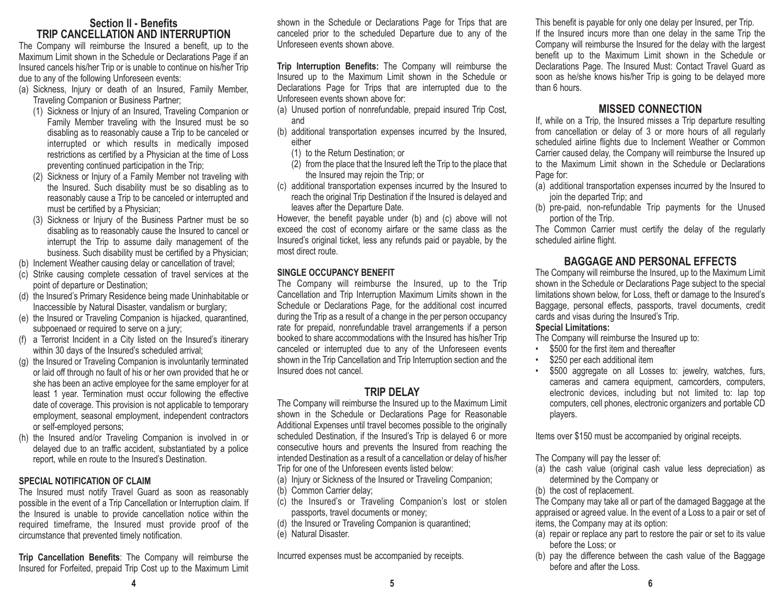## **Section II - BenefitsTRIP CANCELLATION AND INTERRUPTION**

The Company will reimburse the Insured a benefit, up to the Maximum Limit shown in the Schedule or Declarations Page if an Insured cancels his/her Trip or is unable to continue on his/her Trip due to any of the following Unforeseen events:

- (a) Sickness, Injury or death of an Insured, Family Member, Traveling Companion or Business Partner;
	- (1) Sickness or Injury of an Insured, Traveling Companion or Family Member traveling with the Insured must be so disabling as to reasonably cause a Trip to be canceled or interrupted or which results in medically imposed restrictions as certified by a Physician at the time of Loss preventing continued participation in the Trip;
	- (2) Sickness or Injury of a Family Member not traveling with the Insured. Such disability must be so disabling as to reasonably cause a Trip to be canceled or interrupted and must be certified by a Physician;
	- (3) Sickness or Injury of the Business Partner must be so disabling as to reasonably cause the Insured to cancel or interrupt the Trip to assume daily management of the business. Such disability must be certified by a Physician;
- (b) Inclement Weather causing delay or cancellation of travel;
- (c) Strike causing complete cessation of travel services at the point of departure or Destination;
- (d) the Insured's Primary Residence being made Uninhabitable or Inaccessible by Natural Disaster, vandalism or burglary;
- (e) the Insured or Traveling Companion is hijacked, quarantined, subpoenaed or required to serve on a jury;
- (f) a Terrorist Incident in a City listed on the Insured's itinerary within 30 days of the Insured's scheduled arrival;
- (g) the Insured or Traveling Companion is involuntarily terminated or laid off through no fault of his or her own provided that he or she has been an active employee for the same employer for at least 1 year. Termination must occur following the effective date of coverage. This provision is not applicable to temporary employment, seasonal employment, independent contractors or self-employed persons;
- (h) the Insured and/or Traveling Companion is involved in or delayed due to an traffic accident, substantiated by a police report, while en route to the Insured's Destination.

## **SPECIAL NOTIFICATION OF CLAIM**

The Insured must notify Travel Guard as soon as reasonably possible in the event of a Trip Cancellation or Interruption claim. If the Insured is unable to provide cancellation notice within the required timeframe, the Insured must provide proof of the circumstance that prevented timely notification.

**Trip Cancellation Benefits**: The Company will reimburse the Insured for Forfeited, prepaid Trip Cost up to the Maximum Limit shown in the Schedule or Declarations Page for Trips that are canceled prior to the scheduled Departure due to any of the Unforeseen events shown above.

**Trip Interruption Benefits:** The Company will reimburse the Insured up to the Maximum Limit shown in the Schedule or Declarations Page for Trips that are interrupted due to the Unforeseen events shown above for:

- (a) Unused portion of nonrefundable, prepaid insured Trip Cost, and
- (b) additional transportation expenses incurred by the Insured, either
	- (1) to the Return Destination; or
	- (2) from the place that the Insured left the Trip to the place that the Insured may rejoin the Trip; or
- (c) additional transportation expenses incurred by the Insured to reach the original Trip Destination if the Insured is delayed and leaves after the Departure Date.

However, the benefit payable under (b) and (c) above will not exceed the cost of economy airfare or the same class as the Insured's original ticket, less any refunds paid or payable, by the most direct route.

## **SINGLE OCCUPANCY BENEFIT**

The Company will reimburse the Insured, up to the Trip Cancellation and Trip Interruption Maximum Limits shown in the Schedule or Declarations Page, for the additional cost incurred during the Trip as a result of a change in the per person occupancy rate for prepaid, nonrefundable travel arrangements if a person booked to share accommodations with the Insured has his/her Trip canceled or interrupted due to any of the Unforeseen events shown in the Trip Cancellation and Trip Interruption section and the Insured does not cancel.

# **TRIP DELAY**

The Company will reimburse the Insured up to the Maximum Limit shown in the Schedule or Declarations Page for Reasonable Additional Expenses until travel becomes possible to the originally scheduled Destination, if the Insured's Trip is delayed 6 or more consecutive hours and prevents the Insured from reaching the intended Destination as a result of a cancellation or delay of his/her Trip for one of the Unforeseen events listed below:

- (a) Injury or Sickness of the Insured or Traveling Companion;
- (b) Common Carrier delay;
- (c) the Insured's or Traveling Companion's lost or stolen passports, travel documents or money;
- (d) the Insured or Traveling Companion is quarantined;
- (e) Natural Disaster.

Incurred expenses must be accompanied by receipts.

This benefit is payable for only one delay per Insured, per Trip. If the Insured incurs more than one delay in the same Trip the Company will reimburse the Insured for the delay with the largest benefit up to the Maximum Limit shown in the Schedule or Declarations Page. The Insured Must: Contact Travel Guard as soon as he/she knows his/her Trip is going to be delayed more than 6 hours.

# **MISSED CONNECTION**

If, while on a Trip, the Insured misses a Trip departure resulting from cancellation or delay of 3 or more hours of all regularly scheduled airline flights due to Inclement Weather or Common Carrier caused delay, the Company will reimburse the Insured up to the Maximum Limit shown in the Schedule or DeclarationsPage for:

- (a) additional transportation expenses incurred by the Insured to join the departed Trip; and
- (b) pre-paid, non-refundable Trip payments for the Unused portion of the Trip.

The Common Carrier must certify the delay of the regularly scheduled airline flight.

# **BAGGAGE AND PERSONAL EFFECTS**

The Company will reimburse the Insured, up to the Maximum Limit shown in the Schedule or Declarations Page subject to the special limitations shown below, for Loss, theft or damage to the Insured's Baggage, personal effects, passports, travel documents, credit cards and visas during the Insured's Trip.

## **Special Limitations:**

The Company will reimburse the Insured up to:

- •\$500 for the first item and thereafter
- •\$250 per each additional item
- •\$500 aggregate on all Losses to: jewelry, watches, furs, cameras and camera equipment, camcorders, computers, electronic devices, including but not limited to: lap top computers, cell phones, electronic organizers and portable CD players.

Items over \$150 must be accompanied by original receipts.

The Company will pay the lesser of:

- (a) the cash value (original cash value less depreciation) as determined by the Company or
- (b) the cost of replacement.

The Company may take all or part of the damaged Baggage at the appraised or agreed value. In the event of a Loss to a pair or set of items, the Company may at its option:

- (a) repair or replace any part to restore the pair or set to its value before the Loss; or
- (b) pay the difference between the cash value of the Baggage before and after the Loss.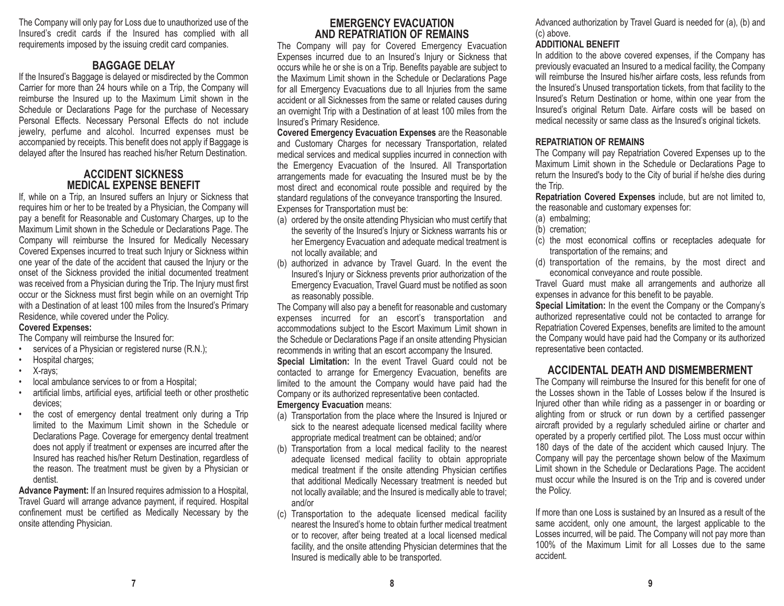The Company will only pay for Loss due to unauthorized use of the Insured's credit cards if the Insured has complied with all requirements imposed by the issuing credit card companies.

## **BAGGAGE DELAY**

If the Insured's Baggage is delayed or misdirected by the Common Carrier for more than 24 hours while on a Trip, the Company will reimburse the Insured up to the Maximum Limit shown in the Schedule or Declarations Page for the purchase of Necessary Personal Effects. Necessary Personal Effects do not include jewelry, perfume and alcohol. Incurred expenses must be accompanied by receipts. This benefit does not apply if Baggage is delayed after the Insured has reached his/her Return Destination.

## **ACCIDENT SICKNESSMEDICAL EXPENSE BENEFIT**

If, while on a Trip, an Insured suffers an Injury or Sickness that requires him or her to be treated by a Physician, the Company will pay a benefit for Reasonable and Customary Charges, up to the Maximum Limit shown in the Schedule or Declarations Page. The Company will reimburse the Insured for Medically Necessary Covered Expenses incurred to treat such Injury or Sickness within one year of the date of the accident that caused the Injury or the onset of the Sickness provided the initial documented treatment was received from a Physician during the Trip. The Injury must first occur or the Sickness must first begin while on an overnight Trip with a Destination of at least 100 miles from the Insured's Primary Residence, while covered under the Policy.

#### **Covered Expenses:**

The Company will reimburse the Insured for:

- •services of a Physician or registered nurse (R.N.);
- •Hospital charges;
- •X-rays;
- •local ambulance services to or from a Hospital;
- • artificial limbs, artificial eyes, artificial teeth or other prosthetic devices;
- • the cost of emergency dental treatment only during a Trip limited to the Maximum Limit shown in the Schedule orDeclarations Page. Coverage for emergency dental treatment does not apply if treatment or expenses are incurred after the Insured has reached his/her Return Destination, regardless of the reason. The treatment must be given by a Physician or dentist.

**Advance Payment:** If an Insured requires admission to a Hospital, Travel Guard will arrange advance payment, if required. Hospital confinement must be certified as Medically Necessary by the onsite attending Physician.

## **EMERGENCY EVACUATIONAND REPATRIATION OF REMAINS**

The Company will pay for Covered Emergency Evacuation Expenses incurred due to an Insured's Injury or Sickness that occurs while he or she is on a Trip. Benefits payable are subject to the Maximum Limit shown in the Schedule or Declarations Page for all Emergency Evacuations due to all Injuries from the same accident or all Sicknesses from the same or related causes during an overnight Trip with a Destination of at least 100 miles from the Insured's Primary Residence.

**Covered Emergency Evacuation Expenses** are the Reasonable and Customary Charges for necessary Transportation, related medical services and medical supplies incurred in connection with the Emergency Evacuation of the Insured. All Transportation arrangements made for evacuating the Insured must be by the most direct and economical route possible and required by the standard regulations of the conveyance transporting the Insured. Expenses for Transportation must be:

- (a) ordered by the onsite attending Physician who must certify that the severity of the Insured's Injury or Sickness warrants his or her Emergency Evacuation and adequate medical treatment is not locally available; and
- (b) authorized in advance by Travel Guard. In the event the Insured's Injury or Sickness prevents prior authorization of the Emergency Evacuation, Travel Guard must be notified as soon as reasonably possible.

The Company will also pay a benefit for reasonable and customary expenses incurred for an escort's transportation and accommodations subject to the Escort Maximum Limit shown in the Schedule or Declarations Page if an onsite attending Physician recommends in writing that an escort accompany the Insured. **Special Limitation:** In the event Travel Guard could not be contacted to arrange for Emergency Evacuation, benefits are limited to the amount the Company would have paid had the Company or its authorized representative been contacted. **Emergency Evacuation** means:

- (a) Transportation from the place where the Insured is Injured or sick to the nearest adequate licensed medical facility where appropriate medical treatment can be obtained; and/or
- (b) Transportation from a local medical facility to the nearest adequate licensed medical facility to obtain appropriate medical treatment if the onsite attending Physician certifies that additional Medically Necessary treatment is needed but not locally available; and the Insured is medically able to travel; and/or
- (c) Transportation to the adequate licensed medical facility nearest the Insured's home to obtain further medical treatment or to recover, after being treated at a local licensed medical facility, and the onsite attending Physician determines that the Insured is medically able to be transported.

Advanced authorization by Travel Guard is needed for (a), (b) and (c) above.

## **ADDITIONAL BENEFIT**

In addition to the above covered expenses, if the Company has previously evacuated an Insured to a medical facility, the Company will reimburse the Insured his/her airfare costs, less refunds from the Insured's Unused transportation tickets, from that facility to the Insured's Return Destination or home, within one year from the Insured's original Return Date. Airfare costs will be based on medical necessity or same class as the Insured's original tickets.

## **REPATRIATION OF REMAINS**

 The Company will pay Repatriation Covered Expenses up to the Maximum Limit shown in the Schedule or Declarations Page to return the Insured's body to the City of burial if he/she dies during the Trip.

**Repatriation Covered Expenses** include, but are not limited to, the reasonable and customary expenses for:

- (a) embalming;
- (b) cremation;
- (c) the most economical coffins or receptacles adequate for transportation of the remains; and
- (d) transportation of the remains, by the most direct and economical conveyance and route possible.

Travel Guard must make all arrangements and authorize all expenses in advance for this benefit to be payable.

**Special Limitation:** In the event the Company or the Company's authorized representative could not be contacted to arrange for Repatriation Covered Expenses, benefits are limited to the amount the Company would have paid had the Company or its authorized representative been contacted.

# **ACCIDENTAL DEATH AND DISMEMBERMENT**

The Company will reimburse the Insured for this benefit for one of the Losses shown in the Table of Losses below if the Insured isInjured other than while riding as a passenger in or boarding or alighting from or struck or run down by a certified passenger aircraft provided by a regularly scheduled airline or charter and operated by a properly certified pilot. The Loss must occur within 180 days of the date of the accident which caused Injury. The Company will pay the percentage shown below of the Maximum Limit shown in the Schedule or Declarations Page. The accident must occur while the Insured is on the Trip and is covered under the Policy.

If more than one Loss is sustained by an Insured as a result of the same accident, only one amount, the largest applicable to the Losses incurred, will be paid. The Company will not pay more than 100% of the Maximum Limit for all Losses due to the sameaccident.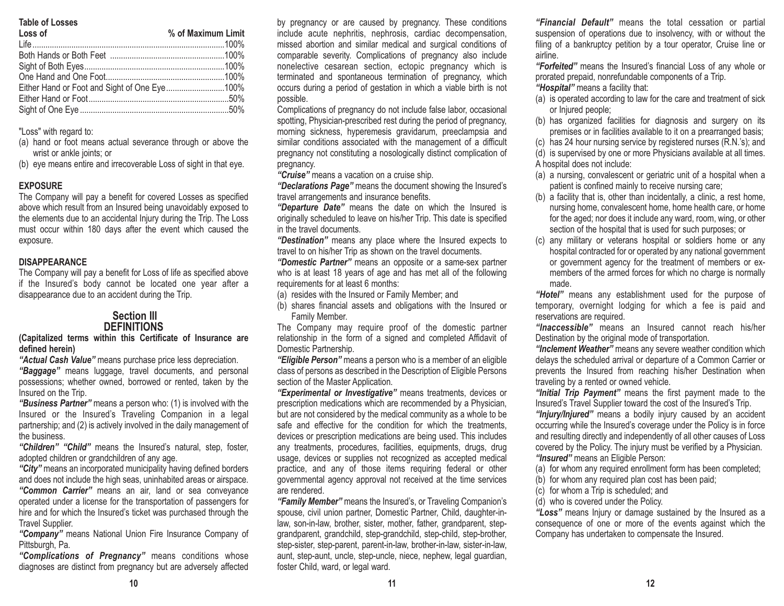#### **Table of Losses**

| Loss of | % of Maximum Limit |
|---------|--------------------|
|         |                    |
|         |                    |
|         |                    |
|         |                    |
|         |                    |
|         |                    |
|         |                    |
|         |                    |

"Loss" with regard to:

- (a) hand or foot means actual severance through or above the wrist or ankle joints; or
- (b) eye means entire and irrecoverable Loss of sight in that eye.

#### **EXPOSURE**

The Company will pay a benefit for covered Losses as specified above which result from an Insured being unavoidably exposed to the elements due to an accidental Injury during the Trip. The Loss must occur within 180 days after the event which caused the exposure.

#### **DISAPPEARANCE**

The Company will pay a benefit for Loss of life as specified above if the Insured's body cannot be located one year after a disappearance due to an accident during the Trip.

### **Section IIIDEFINITIONS**

**(Capitalized terms within this Certificate of Insurance are defined herein)**

*"Actual Cash Value"* means purchase price less depreciation. *"Baggage"* means luggage, travel documents, and personal possessions; whether owned, borrowed or rented, taken by the Insured on the Trip.

*"Business Partner"* means a person who: (1) is involved with the Insured or the Insured's Traveling Companion in a legal partnership; and (2) is actively involved in the daily management of the business.

*"Children" "Child"* means the Insured's natural, step, foster, adopted children or grandchildren of any age.

*"City"* means an incorporated municipality having defined borders and does not include the high seas, uninhabited areas or airspace. *"Common Carrier"* means an air, land or sea conveyance operated under a license for the transportation of passengers for hire and for which the Insured's ticket was purchased through the Travel Supplier.

*"Company"* means National Union Fire Insurance Company of Pittsburgh, Pa.

*"Complications of Pregnancy"* means conditions whose diagnoses are distinct from pregnancy but are adversely affected by pregnancy or are caused by pregnancy. These conditions include acute nephritis, nephrosis, cardiac decompensation, missed abortion and similar medical and surgical conditions of comparable severity. Complications of pregnancy also include nonelective cesarean section, ectopic pregnancy which is terminated and spontaneous termination of pregnancy, which occurs during a period of gestation in which a viable birth is not possible.

Complications of pregnancy do not include false labor, occasional spotting, Physician-prescribed rest during the period of pregnancy, morning sickness, hyperemesis gravidarum, preeclampsia and similar conditions associated with the management of a difficult pregnancy not constituting a nosologically distinct complication of pregnancy.

*"Cruise"* means a vacation on a cruise ship.

*"Declarations Page"* means the document showing the Insured's travel arrangements and insurance benefits.

*"Departure Date"* means the date on which the Insured is originally scheduled to leave on his/her Trip. This date is specified in the travel documents.

*"Destination"* means any place where the Insured expects to travel to on his/her Trip as shown on the travel documents.

*"Domestic Partner"* means an opposite or a same-sex partner who is at least 18 years of age and has met all of the following requirements for at least 6 months:

(a) resides with the Insured or Family Member; and

(b) shares financial assets and obligations with the Insured or Family Member.

The Company may require proof of the domestic partner relationship in the form of a signed and completed Affidavit of Domestic Partnership.

*"Eligible Person"* means a person who is a member of an eligible class of persons as described in the Description of Eligible Persons section of the Master Application.

*"Experimental or Investigative"* means treatments, devices or prescription medications which are recommended by a Physician, but are not considered by the medical community as a whole to be safe and effective for the condition for which the treatments, devices or prescription medications are being used. This includes any treatments, procedures, facilities, equipments, drugs, drug usage, devices or supplies not recognized as accepted medical practice, and any of those items requiring federal or other governmental agency approval not received at the time services are rendered.

*"Family Member"* means the Insured's, or Traveling Companion's spouse, civil union partner, Domestic Partner, Child, daughter-inlaw, son-in-law, brother, sister, mother, father, grandparent, stepgrandparent, grandchild, step-grandchild, step-child, step-brother, step-sister, step-parent, parent-in-law, brother-in-law, sister-in-law, aunt, step-aunt, uncle, step-uncle, niece, nephew, legal guardian, foster Child, ward, or legal ward.

*"Financial Default"* means the total cessation or partial suspension of operations due to insolvency, with or without the filing of a bankruptcy petition by a tour operator, Cruise line or airline.

*"Forfeited"* means the Insured's financial Loss of any whole or prorated prepaid, nonrefundable components of a Trip. *"Hospital"* means a facility that:

- (a) is operated according to law for the care and treatment of sick or Injured people;
- (b) has organized facilities for diagnosis and surgery on its premises or in facilities available to it on a prearranged basis;

(c) has 24 hour nursing service by registered nurses (R.N.'s); and

(d) is supervised by one or more Physicians available at all times. A hospital does not include:

- (a) a nursing, convalescent or geriatric unit of a hospital when a patient is confined mainly to receive nursing care;
- (b) a facility that is, other than incidentally, a clinic, a rest home, nursing home, convalescent home, home health care, or home for the aged; nor does it include any ward, room, wing, or other section of the hospital that is used for such purposes; or
- (c) any military or veterans hospital or soldiers home or any hospital contracted for or operated by any national government or government agency for the treatment of members or exmembers of the armed forces for which no charge is normally made.

*"Hotel"* means any establishment used for the purpose of temporary, overnight lodging for which a fee is paid and reservations are required.

*"Inaccessible"* means an Insured cannot reach his/her Destination by the original mode of transportation.

*"Inclement Weather"* means any severe weather condition which delays the scheduled arrival or departure of a Common Carrier or prevents the Insured from reaching his/her Destination when traveling by a rented or owned vehicle.

*"Initial Trip Payment"* means the first payment made to the Insured's Travel Supplier toward the cost of the Insured's Trip.

*"Injury/Injured"* means a bodily injury caused by an accident occurring while the Insured's coverage under the Policy is in force and resulting directly and independently of all other causes of Loss covered by the Policy. The injury must be verified by a Physician. *"Insured"* means an Eligible Person:

(a) for whom any required enrollment form has been completed;

(b) for whom any required plan cost has been paid;

- (c) for whom a Trip is scheduled; and
- (d) who is covered under the Policy.

*"Loss"* means Injury or damage sustained by the Insured as a consequence of one or more of the events against which the Company has undertaken to compensate the Insured.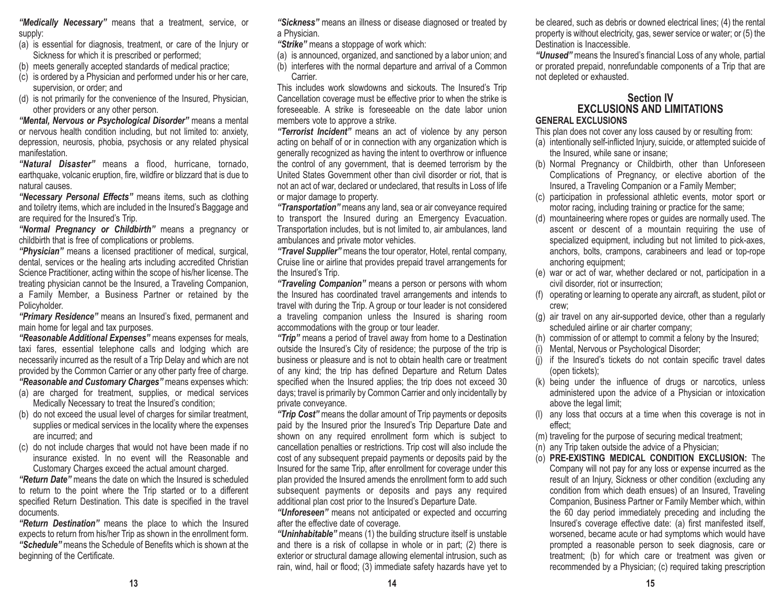*"Medically Necessary"* means that a treatment, service, or supply:

- (a) is essential for diagnosis, treatment, or care of the Injury or Sickness for which it is prescribed or performed;
- (b) meets generally accepted standards of medical practice;
- (c) is ordered by a Physician and performed under his or her care, supervision, or order; and
- (d) is not primarily for the convenience of the Insured, Physician, other providers or any other person.

*"Mental, Nervous or Psychological Disorder"* means a mental or nervous health condition including, but not limited to: anxiety, depression, neurosis, phobia, psychosis or any related physical manifestation.

*"Natural Disaster"* means a flood, hurricane, tornado, earthquake, volcanic eruption, fire, wildfire or blizzard that is due to natural causes.

*"Necessary Personal Effects"* means items, such as clothing and toiletry items, which are included in the Insured's Baggage and are required for the Insured's Trip.

*"Normal Pregnancy or Childbirth"* means a pregnancy or childbirth that is free of complications or problems.

*"Physician"* means a licensed practitioner of medical, surgical, dental, services or the healing arts including accredited Christian Science Practitioner, acting within the scope of his/her license. The treating physician cannot be the Insured, a Traveling Companion, a Family Member, a Business Partner or retained by the Policyholder.

*"Primary Residence"* means an Insured's fixed, permanent and main home for legal and tax purposes.

*"Reasonable Additional Expenses"* means expenses for meals, taxi fares, essential telephone calls and lodging which are necessarily incurred as the result of a Trip Delay and which are not provided by the Common Carrier or any other party free of charge. *"Reasonable and Customary Charges"* means expenses which:

- (a) are charged for treatment, supplies, or medical services Medically Necessary to treat the Insured's condition;
- (b) do not exceed the usual level of charges for similar treatment, supplies or medical services in the locality where the expenses are incurred; and
- (c) do not include charges that would not have been made if no insurance existed. In no event will the Reasonable andCustomary Charges exceed the actual amount charged.

*"Return Date"* means the date on which the Insured is scheduledto return to the point where the Trip started or to a different specified Return Destination. This date is specified in the travel documents.

*"Return Destination"* means the place to which the Insured expects to return from his/her Trip as shown in the enrollment form. *"Schedule"* means the Schedule of Benefits which is shown at thebeginning of the Certificate.

*"Sickness"* means an illness or disease diagnosed or treated by a Physician.

*"Strike"* means a stoppage of work which:

- (a) is announced, organized, and sanctioned by a labor union; and
- (b) interferes with the normal departure and arrival of a Common **Carrier**

This includes work slowdowns and sickouts. The Insured's Trip Cancellation coverage must be effective prior to when the strike is foreseeable. A strike is foreseeable on the date labor unionmembers vote to approve a strike.

*"Terrorist Incident"* means an act of violence by any person acting on behalf of or in connection with any organization which is generally recognized as having the intent to overthrow or influence the control of any government, that is deemed terrorism by the United States Government other than civil disorder or riot, that is not an act of war, declared or undeclared, that results in Loss of life or major damage to property.

*"Transportation"* means any land, sea or air conveyance required to transport the Insured during an Emergency Evacuation. Transportation includes, but is not limited to, air ambulances, land ambulances and private motor vehicles.

*"Travel Supplier"* means the tour operator, Hotel, rental company, Cruise line or airline that provides prepaid travel arrangements for the Insured's Trip.

*"Traveling Companion"* means a person or persons with whom the Insured has coordinated travel arrangements and intends to travel with during the Trip. A group or tour leader is not considered a traveling companion unless the Insured is sharing room accommodations with the group or tour leader.

*"Trip"* means a period of travel away from home to a Destination outside the Insured's City of residence; the purpose of the trip is business or pleasure and is not to obtain health care or treatment of any kind; the trip has defined Departure and Return Dates specified when the Insured applies; the trip does not exceed 30 days; travel is primarily by Common Carrier and only incidentally by private conveyance.

*"Trip Cost"* means the dollar amount of Trip payments or deposits paid by the Insured prior the Insured's Trip Departure Date and shown on any required enrollment form which is subject to cancellation penalties or restrictions. Trip cost will also include the cost of any subsequent prepaid payments or deposits paid by the Insured for the same Trip, after enrollment for coverage under this plan provided the Insured amends the enrollment form to add such subsequent payments or deposits and pays any required additional plan cost prior to the Insured's Departure Date.

*"Unforeseen"* means not anticipated or expected and occurring after the effective date of coverage.

*"Uninhabitable"* means (1) the building structure itself is unstable and there is a risk of collapse in whole or in part; (2) there is exterior or structural damage allowing elemental intrusion, such as rain, wind, hail or flood; (3) immediate safety hazards have yet to be cleared, such as debris or downed electrical lines; (4) the rental property is without electricity, gas, sewer service or water; or (5) the Destination is Inaccessible.

*"Unused"* means the Insured's financial Loss of any whole, partial or prorated prepaid, nonrefundable components of a Trip that are not depleted or exhausted.

#### **Section IV EXCLUSIONS AND LIMITATIONSGENERAL EXCLUSIONS**

This plan does not cover any loss caused by or resulting from:

- (a) intentionally self-inflicted Injury, suicide, or attempted suicide of the Insured, while sane or insane;
- (b) Normal Pregnancy or Childbirth, other than Unforeseen Complications of Pregnancy, or elective abortion of the Insured, a Traveling Companion or a Family Member;
- (c) participation in professional athletic events, motor sport or motor racing, including training or practice for the same;
- (d) mountaineering where ropes or guides are normally used. The ascent or descent of a mountain requiring the use of specialized equipment, including but not limited to pick-axes, anchors, bolts, crampons, carabineers and lead or top-rope anchoring equipment;
- (e) war or act of war, whether declared or not, participation in a civil disorder, riot or insurrection;
- (f) operating or learning to operate any aircraft, as student, pilot or crew;
- (g) air travel on any air-supported device, other than a regularly scheduled airline or air charter company;
- (h) commission of or attempt to commit a felony by the Insured;
- (i) Mental, Nervous or Psychological Disorder;
- (j) if the Insured's tickets do not contain specific travel dates (open tickets);
- (k) being under the influence of drugs or narcotics, unless administered upon the advice of a Physician or intoxication above the legal limit;
- (l) any loss that occurs at a time when this coverage is not in effect;
- (m) traveling for the purpose of securing medical treatment;
- (n) any Trip taken outside the advice of a Physician;
- (o) **PRE-EXISTING MEDICAL CONDITION EXCLUSION:** The Company will not pay for any loss or expense incurred as the result of an Injury, Sickness or other condition (excluding any condition from which death ensues) of an Insured, Traveling Companion, Business Partner or Family Member which, within the 60 day period immediately preceding and including the Insured's coverage effective date: (a) first manifested itself, worsened, became acute or had symptoms which would have prompted a reasonable person to seek diagnosis, care or treatment; (b) for which care or treatment was given or recommended by a Physician; (c) required taking prescription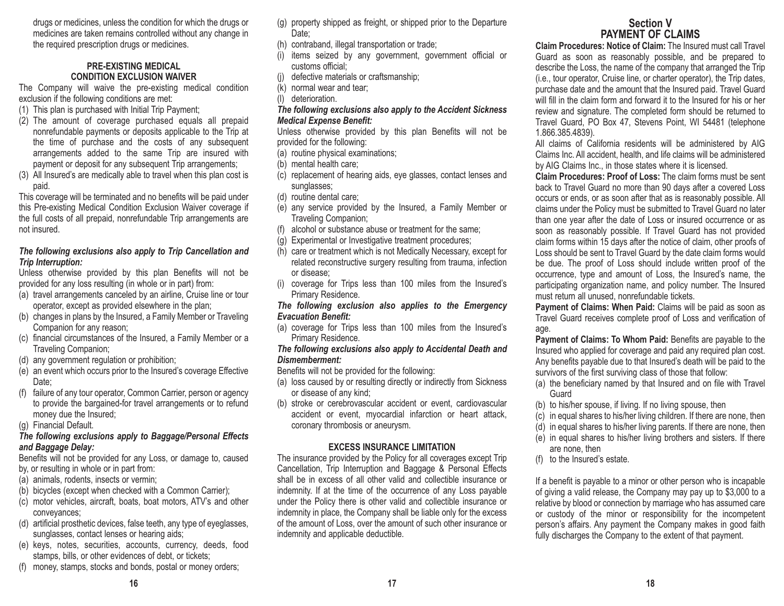drugs or medicines, unless the condition for which the drugs or medicines are taken remains controlled without any change in the required prescription drugs or medicines.

#### **PRE-EXISTING MEDICAL CONDITION EXCLUSION WAIVER**

The Company will waive the pre-existing medical condition exclusion if the following conditions are met:

- (1) This plan is purchased with Initial Trip Payment;
- (2) The amount of coverage purchased equals all prepaid nonrefundable payments or deposits applicable to the Trip at the time of purchase and the costs of any subsequent arrangements added to the same Trip are insured with payment or deposit for any subsequent Trip arrangements;
- (3) All Insured's are medically able to travel when this plan cost is paid.

This coverage will be terminated and no benefits will be paid under this Pre-existing Medical Condition Exclusion Waiver coverage if the full costs of all prepaid, nonrefundable Trip arrangements are not insured.

#### *The following exclusions also apply to Trip Cancellation and Trip Interruption:*

Unless otherwise provided by this plan Benefits will not be provided for any loss resulting (in whole or in part) from:

- (a) travel arrangements canceled by an airline, Cruise line or tour operator, except as provided elsewhere in the plan;
- (b) changes in plans by the Insured, a Family Member or Traveling Companion for any reason;
- (c) financial circumstances of the Insured, a Family Member or a Traveling Companion;
- (d) any government regulation or prohibition;
- (e) an event which occurs prior to the Insured's coverage Effective Date;
- (f) failure of any tour operator, Common Carrier, person or agency to provide the bargained-for travel arrangements or to refund money due the Insured;
- (g) Financial Default.

## *The following exclusions apply to Baggage/Personal Effects and Baggage Delay:*

Benefits will not be provided for any Loss, or damage to, caused by, or resulting in whole or in part from:

- (a) animals, rodents, insects or vermin;
- (b) bicycles (except when checked with a Common Carrier);
- (c) motor vehicles, aircraft, boats, boat motors, ATV's and other conveyances;
- (d) artificial prosthetic devices, false teeth, any type of eyeglasses, sunglasses, contact lenses or hearing aids;
- (e) keys, notes, securities, accounts, currency, deeds, food stamps, bills, or other evidences of debt, or tickets;
- (f) money, stamps, stocks and bonds, postal or money orders;
- (g) property shipped as freight, or shipped prior to the Departure Date;
- (h) contraband, illegal transportation or trade;
- (i) items seized by any government, government official or customs official;
- (j) defective materials or craftsmanship;
- (k) normal wear and tear;
- (l) deterioration.
- *The following exclusions also apply to the Accident Sickness Medical Expense Benefit:*

Unless otherwise provided by this plan Benefits will not be provided for the following:

- (a) routine physical examinations;
- (b) mental health care;
- (c) replacement of hearing aids, eye glasses, contact lenses and sunglasses;
- (d) routine dental care;
- (e) any service provided by the Insured, a Family Member or Traveling Companion;
- (f) alcohol or substance abuse or treatment for the same;
- (g) Experimental or Investigative treatment procedures;
- (h) care or treatment which is not Medically Necessary, except for related reconstructive surgery resulting from trauma, infection or disease;
- (i) coverage for Trips less than 100 miles from the Insured's Primary Residence.

*The following exclusion also applies to the Emergency Evacuation Benefit:*

(a) coverage for Trips less than 100 miles from the Insured's Primary Residence.

#### *The following exclusions also apply to Accidental Death and Dismemberment:*

- Benefits will not be provided for the following:
- (a) loss caused by or resulting directly or indirectly from Sickness or disease of any kind;
- (b) stroke or cerebrovascular accident or event, cardiovascular accident or event, myocardial infarction or heart attack, coronary thrombosis or aneurysm.

## **EXCESS INSURANCE LIMITATION**

The insurance provided by the Policy for all coverages except Trip Cancellation, Trip Interruption and Baggage & Personal Effects shall be in excess of all other valid and collectible insurance or indemnity. If at the time of the occurrence of any Loss payable under the Policy there is other valid and collectible insurance or indemnity in place, the Company shall be liable only for the excess of the amount of Loss, over the amount of such other insurance or indemnity and applicable deductible.

# **Section VPAYMENT OF CLAIMS**

**Claim Procedures: Notice of Claim:** The Insured must call Travel Guard as soon as reasonably possible, and be prepared to describe the Loss, the name of the company that arranged the Trip (i.e., tour operator, Cruise line, or charter operator), the Trip dates, purchase date and the amount that the Insured paid. Travel Guard will fill in the claim form and forward it to the Insured for his or herreview and signature. The completed form should be returned to Travel Guard, PO Box 47, Stevens Point, WI 54481 (telephone 1.866.385.4839).

All claims of California residents will be administered by AIG Claims Inc. All accident, health, and life claims will be administered by AIG Claims Inc., in those states where it is licensed.

**Claim Procedures: Proof of Loss:** The claim forms must be sent back to Travel Guard no more than 90 days after a covered Loss occurs or ends, or as soon after that as is reasonably possible. All claims under the Policy must be submitted to Travel Guard no later than one year after the date of Loss or insured occurrence or as soon as reasonably possible. If Travel Guard has not provided claim forms within 15 days after the notice of claim, other proofs of Loss should be sent to Travel Guard by the date claim forms would be due. The proof of Loss should include written proof of the occurrence, type and amount of Loss, the Insured's name, the participating organization name, and policy number. The Insured must return all unused, nonrefundable tickets.

**Payment of Claims: When Paid:** Claims will be paid as soon as Travel Guard receives complete proof of Loss and verification of age.

**Payment of Claims: To Whom Paid:** Benefits are payable to the Insured who applied for coverage and paid any required plan cost. Any benefits payable due to that Insured's death will be paid to the survivors of the first surviving class of those that follow:

- (a) the beneficiary named by that Insured and on file with Travel **Guard**
- (b) to his/her spouse, if living. If no living spouse, then
- (c) in equal shares to his/her living children. If there are none, then
- (d) in equal shares to his/her living parents. If there are none, then
- (e) in equal shares to his/her living brothers and sisters. If there are none, then
- (f) to the Insured's estate.

If a benefit is payable to a minor or other person who is incapable of giving a valid release, the Company may pay up to \$3,000 to a relative by blood or connection by marriage who has assumed care or custody of the minor or responsibility for the incompetent person's affairs. Any payment the Company makes in good faith fully discharges the Company to the extent of that payment.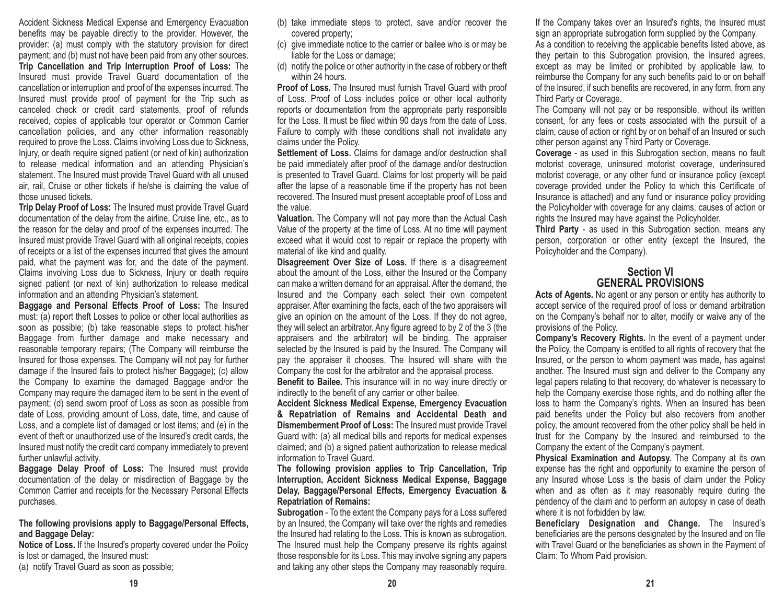Accident Sickness Medical Expense and Emergency Evacuation benefits may be payable directly to the provider. However, the provider: (a) must comply with the statutory provision for direct payment; and (b) must not have been paid from any other sources. **Trip Cancellation and Trip Interruption Proof of Loss:** The Insured must provide Travel Guard documentation of the cancellation or interruption and proof of the expenses incurred. The Insured must provide proof of payment for the Trip such as canceled check or credit card statements, proof of refunds received, copies of applicable tour operator or Common Carrier cancellation policies, and any other information reasonably required to prove the Loss. Claims involving Loss due to Sickness, Injury, or death require signed patient (or next of kin) authorization to release medical information and an attending Physician's statement. The Insured must provide Travel Guard with all unused air, rail, Cruise or other tickets if he/she is claiming the value of those unused tickets.

**Trip Delay Proof of Loss:** The Insured must provide Travel Guard documentation of the delay from the airline, Cruise line, etc., as to the reason for the delay and proof of the expenses incurred. The Insured must provide Travel Guard with all original receipts, copies of receipts or a list of the expenses incurred that gives the amount paid, what the payment was for, and the date of the payment. Claims involving Loss due to Sickness, Injury or death require signed patient (or next of kin) authorization to release medical information and an attending Physician's statement.

**Baggage and Personal Effects Proof of Loss:** The Insured must: (a) report theft Losses to police or other local authorities as soon as possible; (b) take reasonable steps to protect his/her Baggage from further damage and make necessary and reasonable temporary repairs; (The Company will reimburse the Insured for those expenses. The Company will not pay for further damage if the Insured fails to protect his/her Baggage); (c) allow the Company to examine the damaged Baggage and/or the Company may require the damaged item to be sent in the event of payment; (d) send sworn proof of Loss as soon as possible from date of Loss, providing amount of Loss, date, time, and cause of Loss, and a complete list of damaged or lost items; and (e) in the event of theft or unauthorized use of the Insured's credit cards, the Insured must notify the credit card company immediately to prevent further unlawful activity.

**Baggage Delay Proof of Loss:** The Insured must provide documentation of the delay or misdirection of Baggage by the Common Carrier and receipts for the Necessary Personal Effects purchases.

#### **The following provisions apply to Baggage/Personal Effects, and Baggage Delay:**

**Notice of Loss.** If the Insured's property covered under the Policy is lost or damaged, the Insured must:

(a) notify Travel Guard as soon as possible;

- (b) take immediate steps to protect, save and/or recover the covered property;
- (c) give immediate notice to the carrier or bailee who is or may be liable for the Loss or damage;
- (d) notify the police or other authority in the case of robbery or theft within 24 hours.

**Proof of Loss.** The Insured must furnish Travel Guard with proof of Loss. Proof of Loss includes police or other local authority reports or documentation from the appropriate party responsible for the Loss. It must be filed within 90 days from the date of Loss. Failure to comply with these conditions shall not invalidate any claims under the Policy.

**Settlement of Loss.** Claims for damage and/or destruction shall be paid immediately after proof of the damage and/or destruction is presented to Travel Guard. Claims for lost property will be paid after the lapse of a reasonable time if the property has not been recovered. The Insured must present acceptable proof of Loss and the value.

**Valuation.** The Company will not pay more than the Actual Cash Value of the property at the time of Loss. At no time will payment exceed what it would cost to repair or replace the property with material of like kind and quality.

**Disagreement Over Size of Loss.** If there is a disagreement about the amount of the Loss, either the Insured or the Company can make a written demand for an appraisal. After the demand, the Insured and the Company each select their own competent appraiser. After examining the facts, each of the two appraisers will give an opinion on the amount of the Loss. If they do not agree, they will select an arbitrator. Any figure agreed to by 2 of the 3 (the appraisers and the arbitrator) will be binding. The appraiser selected by the Insured is paid by the Insured. The Company will pay the appraiser it chooses. The Insured will share with the Company the cost for the arbitrator and the appraisal process.

**Benefit to Bailee.** This insurance will in no way inure directly or indirectly to the benefit of any carrier or other bailee.

**Accident Sickness Medical Expense, Emergency Evacuation & Repatriation of Remains and Accidental Death and Dismemberment Proof of Loss:** The Insured must provide Travel Guard with: (a) all medical bills and reports for medical expenses claimed; and (b) a signed patient authorization to release medical information to Travel Guard.

**The following provision applies to Trip Cancellation, Trip Interruption, Accident Sickness Medical Expense, Baggage Delay, Baggage/Personal Effects, Emergency Evacuation & Repatriation of Remains:**

**Subrogation** - To the extent the Company pays for a Loss suffered by an Insured, the Company will take over the rights and remedies the Insured had relating to the Loss. This is known as subrogation. The Insured must help the Company preserve its rights against those responsible for its Loss. This may involve signing any papers and taking any other steps the Company may reasonably require.

If the Company takes over an Insured's rights, the Insured must sign an appropriate subrogation form supplied by the Company. As a condition to receiving the applicable benefits listed above, as they pertain to this Subrogation provision, the Insured agrees, except as may be limited or prohibited by applicable law, to reimburse the Company for any such benefits paid to or on behalf of the Insured, if such benefits are recovered, in any form, from any Third Party or Coverage.

The Company will not pay or be responsible, without its written consent, for any fees or costs associated with the pursuit of a claim, cause of action or right by or on behalf of an Insured or such other person against any Third Party or Coverage.

**Coverage** - as used in this Subrogation section, means no fault motorist coverage, uninsured motorist coverage, underinsured motorist coverage, or any other fund or insurance policy (except coverage provided under the Policy to which this Certificate of Insurance is attached) and any fund or insurance policy providing the Policyholder with coverage for any claims, causes of action or rights the Insured may have against the Policyholder.

**Third Party** - as used in this Subrogation section, means any person, corporation or other entity (except the Insured, the Policyholder and the Company).

## **Section VIGENERAL PROVISIONS**

**Acts of Agents.** No agent or any person or entity has authority to accept service of the required proof of loss or demand arbitration on the Company's behalf nor to alter, modify or waive any of the provisions of the Policy.

**Company's Recovery Rights.** In the event of a payment under the Policy, the Company is entitled to all rights of recovery that the Insured, or the person to whom payment was made, has against another. The Insured must sign and deliver to the Company any legal papers relating to that recovery, do whatever is necessary to help the Company exercise those rights, and do nothing after the loss to harm the Company's rights. When an Insured has been paid benefits under the Policy but also recovers from another policy, the amount recovered from the other policy shall be held in trust for the Company by the Insured and reimbursed to the Company the extent of the Company's payment.

**Physical Examination and Autopsy.** The Company at its own expense has the right and opportunity to examine the person of any Insured whose Loss is the basis of claim under the Policy when and as often as it may reasonably require during the pendency of the claim and to perform an autopsy in case of death where it is not forbidden by law.

**Beneficiary Designation and Change.** The Insured's beneficiaries are the persons designated by the Insured and on file with Travel Guard or the beneficiaries as shown in the Payment of Claim: To Whom Paid provision.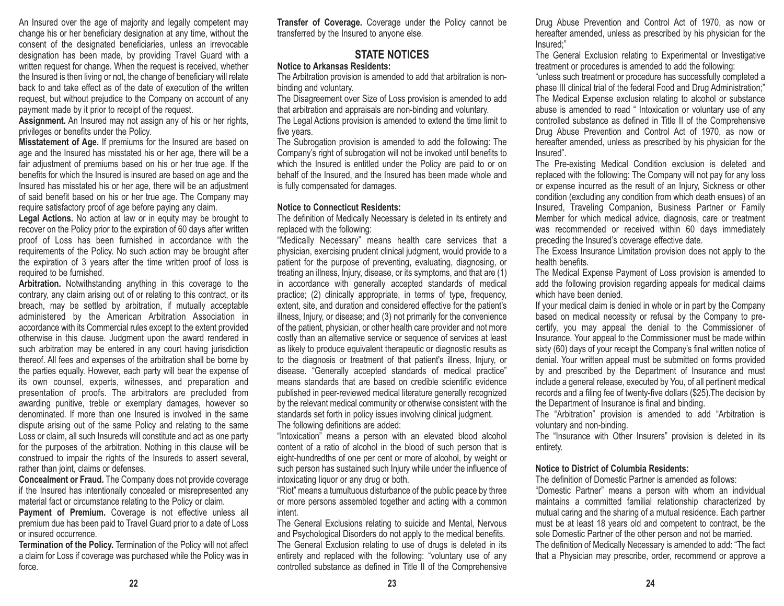An Insured over the age of majority and legally competent may change his or her beneficiary designation at any time, without the consent of the designated beneficiaries, unless an irrevocable designation has been made, by providing Travel Guard with a written request for change. When the request is received, whether the Insured is then living or not, the change of beneficiary will relate back to and take effect as of the date of execution of the written request, but without prejudice to the Company on account of any payment made by it prior to receipt of the request.

**Assignment.** An Insured may not assign any of his or her rights, privileges or benefits under the Policy.

**Misstatement of Age.** If premiums for the Insured are based on age and the Insured has misstated his or her age, there will be a fair adjustment of premiums based on his or her true age. If the benefits for which the Insured is insured are based on age and the Insured has misstated his or her age, there will be an adjustment of said benefit based on his or her true age. The Company may require satisfactory proof of age before paying any claim.

**Legal Actions.** No action at law or in equity may be brought to recover on the Policy prior to the expiration of 60 days after written proof of Loss has been furnished in accordance with the requirements of the Policy. No such action may be brought after the expiration of 3 years after the time written proof of loss is required to be furnished.

**Arbitration.** Notwithstanding anything in this coverage to the contrary, any claim arising out of or relating to this contract, or its breach, may be settled by arbitration, if mutually acceptable administered by the American Arbitration Association in accordance with its Commercial rules except to the extent provided otherwise in this clause. Judgment upon the award rendered in such arbitration may be entered in any court having jurisdiction thereof. All fees and expenses of the arbitration shall be borne by the parties equally. However, each party will bear the expense of its own counsel, experts, witnesses, and preparation and presentation of proofs. The arbitrators are precluded from awarding punitive, treble or exemplary damages, however so denominated. If more than one Insured is involved in the same dispute arising out of the same Policy and relating to the same Loss or claim, all such Insureds will constitute and act as one party for the purposes of the arbitration. Nothing in this clause will be construed to impair the rights of the Insureds to assert several, rather than joint, claims or defenses.

**Concealment or Fraud.** The Company does not provide coverage if the Insured has intentionally concealed or misrepresented any material fact or circumstance relating to the Policy or claim.

**Payment of Premium.** Coverage is not effective unless all premium due has been paid to Travel Guard prior to a date of Loss or insured occurrence.

**Termination of the Policy.** Termination of the Policy will not affect a claim for Loss if coverage was purchased while the Policy was in force.

**Transfer of Coverage.** Coverage under the Policy cannot be transferred by the Insured to anyone else.

# **STATE NOTICES**

## **Notice to Arkansas Residents:**

The Arbitration provision is amended to add that arbitration is nonbinding and voluntary.

The Disagreement over Size of Loss provision is amended to add that arbitration and appraisals are non-binding and voluntary.

The Legal Actions provision is amended to extend the time limit to five years.

The Subrogation provision is amended to add the following: The Company's right of subrogation will not be invoked until benefits to which the Insured is entitled under the Policy are paid to or on behalf of the Insured, and the Insured has been made whole and is fully compensated for damages.

#### **Notice to Connecticut Residents:**

The definition of Medically Necessary is deleted in its entirety and replaced with the following:

"Medically Necessary" means health care services that a physician, exercising prudent clinical judgment, would provide to a patient for the purpose of preventing, evaluating, diagnosing, or treating an illness, Injury, disease, or its symptoms, and that are (1) in accordance with generally accepted standards of medical practice; (2) clinically appropriate, in terms of type, frequency, extent, site, and duration and considered effective for the patient's illness, Injury, or disease; and (3) not primarily for the convenience of the patient, physician, or other health care provider and not more costly than an alternative service or sequence of services at least as likely to produce equivalent therapeutic or diagnostic results as to the diagnosis or treatment of that patient's illness, Injury, or disease. "Generally accepted standards of medical practice" means standards that are based on credible scientific evidence published in peer-reviewed medical literature generally recognized by the relevant medical community or otherwise consistent with the standards set forth in policy issues involving clinical judgment. The following definitions are added:

"Intoxication" means a person with an elevated blood alcohol content of a ratio of alcohol in the blood of such person that is eight-hundredths of one per cent or more of alcohol, by weight or such person has sustained such Injury while under the influence of intoxicating liquor or any drug or both.

"Riot" means a tumultuous disturbance of the public peace by three or more persons assembled together and acting with a common intent.

The General Exclusions relating to suicide and Mental, Nervous and Psychological Disorders do not apply to the medical benefits. The General Exclusion relating to use of drugs is deleted in its entirety and replaced with the following: "voluntary use of any controlled substance as defined in Title II of the Comprehensive Drug Abuse Prevention and Control Act of 1970, as now or hereafter amended, unless as prescribed by his physician for the Insured;"

The General Exclusion relating to Experimental or Investigative treatment or procedures is amended to add the following:

"unless such treatment or procedure has successfully completed a phase III clinical trial of the federal Food and Drug Administration;" The Medical Expense exclusion relating to alcohol or substance abuse is amended to read " Intoxication or voluntary use of any controlled substance as defined in Title II of the Comprehensive Drug Abuse Prevention and Control Act of 1970, as now or hereafter amended, unless as prescribed by his physician for the Insured".

The Pre-existing Medical Condition exclusion is deleted and replaced with the following: The Company will not pay for any loss or expense incurred as the result of an Injury, Sickness or other condition (excluding any condition from which death ensues) of an Insured, Traveling Companion, Business Partner or Family Member for which medical advice, diagnosis, care or treatment was recommended or received within 60 days immediately preceding the Insured's coverage effective date.

The Excess Insurance Limitation provision does not apply to the health benefits.

The Medical Expense Payment of Loss provision is amended to add the following provision regarding appeals for medical claims which have been denied.

If your medical claim is denied in whole or in part by the Company based on medical necessity or refusal by the Company to precertify, you may appeal the denial to the Commissioner of Insurance. Your appeal to the Commissioner must be made within sixty (60) days of your receipt the Company's final written notice of denial. Your written appeal must be submitted on forms provided by and prescribed by the Department of Insurance and must include a general release, executed by You, of all pertinent medical records and a filing fee of twenty-five dollars (\$25).The decision by the Department of Insurance is final and binding.

The "Arbitration" provision is amended to add "Arbitration is voluntary and non-binding.

The "Insurance with Other Insurers" provision is deleted in its entirety.

#### **Notice to District of Columbia Residents:**

The definition of Domestic Partner is amended as follows:"Domestic Partner" means a person with whom an individual maintains a committed familial relationship characterized by mutual caring and the sharing of a mutual residence. Each partner must be at least 18 years old and competent to contract, be the sole Domestic Partner of the other person and not be married. The definition of Medically Necessary is amended to add: "The fact that a Physician may prescribe, order, recommend or approve a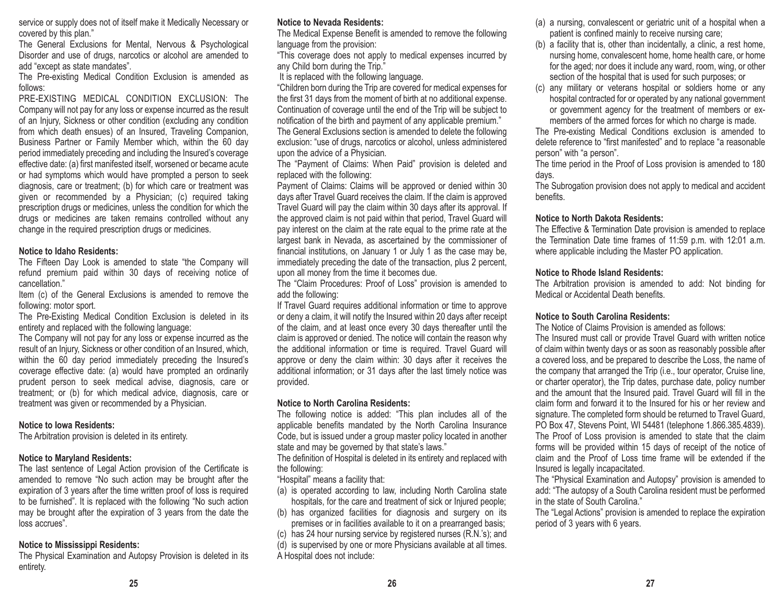service or supply does not of itself make it Medically Necessary or covered by this plan."

The General Exclusions for Mental, Nervous & Psychological Disorder and use of drugs, narcotics or alcohol are amended to add "except as state mandates".

The Pre-existing Medical Condition Exclusion is amended as follows:

PRE-EXISTING MEDICAL CONDITION EXCLUSION: TheCompany will not pay for any loss or expense incurred as the result of an Injury, Sickness or other condition (excluding any condition from which death ensues) of an Insured, Traveling Companion, Business Partner or Family Member which, within the 60 day period immediately preceding and including the Insured's coverage effective date: (a) first manifested itself, worsened or became acute or had symptoms which would have prompted a person to seek diagnosis, care or treatment; (b) for which care or treatment was given or recommended by a Physician; (c) required taking prescription drugs or medicines, unless the condition for which the drugs or medicines are taken remains controlled without any change in the required prescription drugs or medicines.

#### **Notice to Idaho Residents:**

The Fifteen Day Look is amended to state "the Company will refund premium paid within 30 days of receiving notice of cancellation."

Item (c) of the General Exclusions is amended to remove the following: motor sport.

The Pre-Existing Medical Condition Exclusion is deleted in its entirety and replaced with the following language:

The Company will not pay for any loss or expense incurred as the result of an Injury, Sickness or other condition of an Insured, which, within the 60 day period immediately preceding the Insured's coverage effective date: (a) would have prompted an ordinarily prudent person to seek medical advise, diagnosis, care or treatment; or (b) for which medical advice, diagnosis, care or treatment was given or recommended by a Physician.

#### **Notice to Iowa Residents:**

The Arbitration provision is deleted in its entirety.

## **Notice to Maryland Residents:**

The last sentence of Legal Action provision of the Certificate is amended to remove "No such action may be brought after the expiration of 3 years after the time written proof of loss is required to be furnished". It is replaced with the following "No such action may be brought after the expiration of 3 years from the date the loss accrues".

#### **Notice to Mississippi Residents:**

The Physical Examination and Autopsy Provision is deleted in its entirety.

## **Notice to Nevada Residents:**

The Medical Expense Benefit is amended to remove the following language from the provision:

"This coverage does not apply to medical expenses incurred by any Child born during the Trip."

It is replaced with the following language.

"Children born during the Trip are covered for medical expenses for the first 31 days from the moment of birth at no additional expense. Continuation of coverage until the end of the Trip will be subject to notification of the birth and payment of any applicable premium." The General Exclusions section is amended to delete the following exclusion: "use of drugs, narcotics or alcohol, unless administered upon the advice of a Physician.

The "Payment of Claims: When Paid" provision is deleted and replaced with the following:

Payment of Claims: Claims will be approved or denied within 30 days after Travel Guard receives the claim. If the claim is approved Travel Guard will pay the claim within 30 days after its approval. If the approved claim is not paid within that period, Travel Guard will pay interest on the claim at the rate equal to the prime rate at the largest bank in Nevada, as ascertained by the commissioner of financial institutions, on January 1 or July 1 as the case may be, immediately preceding the date of the transaction, plus 2 percent, upon all money from the time it becomes due.

The "Claim Procedures: Proof of Loss" provision is amended to add the following:

If Travel Guard requires additional information or time to approve or deny a claim, it will notify the Insured within 20 days after receipt of the claim, and at least once every 30 days thereafter until the claim is approved or denied. The notice will contain the reason why the additional information or time is required. Travel Guard will approve or deny the claim within: 30 days after it receives the additional information; or 31 days after the last timely notice was provided.

## **Notice to North Carolina Residents:**

The following notice is added: "This plan includes all of the applicable benefits mandated by the North Carolina Insurance Code, but is issued under a group master policy located in another state and may be governed by that state's laws."

The definition of Hospital is deleted in its entirety and replaced with the following:

"Hospital" means a facility that:

- (a) is operated according to law, including North Carolina state hospitals, for the care and treatment of sick or Injured people;
- (b) has organized facilities for diagnosis and surgery on its premises or in facilities available to it on a prearranged basis;
- (c) has 24 hour nursing service by registered nurses (R.N.'s); and
- (d) is supervised by one or more Physicians available at all times.

A Hospital does not include:

- (a) a nursing, convalescent or geriatric unit of a hospital when a patient is confined mainly to receive nursing care;
- (b) a facility that is, other than incidentally, a clinic, a rest home, nursing home, convalescent home, home health care, or home for the aged; nor does it include any ward, room, wing, or other section of the hospital that is used for such purposes; or
- (c) any military or veterans hospital or soldiers home or any hospital contracted for or operated by any national government or government agency for the treatment of members or exmembers of the armed forces for which no charge is made.

The Pre-existing Medical Conditions exclusion is amended to delete reference to "first manifested" and to replace "a reasonable person" with "a person".

The time period in the Proof of Loss provision is amended to 180 days.

The Subrogation provision does not apply to medical and accident benefits.

### **Notice to North Dakota Residents:**

The Effective & Termination Date provision is amended to replace the Termination Date time frames of 11:59 p.m. with 12:01 a.m. where applicable including the Master PO application.

#### **Notice to Rhode Island Residents:**

The Arbitration provision is amended to add: Not binding for Medical or Accidental Death benefits.

## **Notice to South Carolina Residents:**

The Notice of Claims Provision is amended as follows:

The Insured must call or provide Travel Guard with written notice of claim within twenty days or as soon as reasonably possible after a covered loss, and be prepared to describe the Loss, the name of the company that arranged the Trip (i.e., tour operator, Cruise line, or charter operator), the Trip dates, purchase date, policy number and the amount that the Insured paid. Travel Guard will fill in the claim form and forward it to the Insured for his or her review andsignature. The completed form should be returned to Travel Guard, PO Box 47, Stevens Point, WI 54481 (telephone 1.866.385.4839). The Proof of Loss provision is amended to state that the claim forms will be provided within 15 days of receipt of the notice of claim and the Proof of Loss time frame will be extended if theInsured is legally incapacitated.

The "Physical Examination and Autopsy" provision is amended to add: "The autopsy of a South Carolina resident must be performed in the state of South Carolina."

The "Legal Actions" provision is amended to replace the expiration period of 3 years with 6 years.